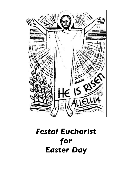

# *Festal Eucharist for Easter Day*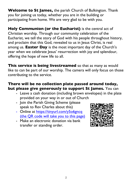**Welcome to St James,** the parish Church of Bulkington. Thank you for joining us today, whether you are in the building or participating from home. We are very glad to be with you.

**Holy Communion (or the Eucharist)** is the central act of Christian worship. Through our community celebration of the Eucharist, we tell the story of God with his people throughout history, and proclaim that this God, revealed to us in Jesus Christ, is real among us. **Easter Day** is the most important day of the Church's year when we celebrate Jesus' resurrection with joy and splendour, offering the hope of new life to all.

**This service is being livestreamed** so that as many as would like to can be part of our worship. The camera will only focus on those contributing to the service.

#### **There will be no collection plate passed around today, but please give generously to support St James.** You can

- Leave a cash donation (including brown envelopes) in the plate provided on your way in or out of Church
- Join the Parish Giving Scheme (please speak to Rev Charles about this)
- Online at https://tinyurl.com/y5o6gncq (the QR code will take you to this page)
- Make an electronic donation via bank transfer or standing order.

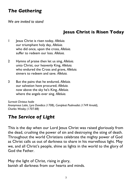# *The Gathering*

*We are invited to stand*

## **Jesus Christ is Risen Today**

- 1 Jesus Christ is risen today, *Alleluia.*  our triumphant holy day, *Alleluia.*  who did once, upon the cross, *Alleluia.*  suffer to redeem our loss. *Alleluia.*
- 2 Hymns of praise then let us sing, *Alleluia.* unto Christ, our heavenly King, *Alleluia.* who endured the Cross and grave, *Alleluia.* sinners to redeem and save. *Alleluia.*
- 3 But the pains that he endured, *Alleluia.* our salvation have procured; *Alleluia.* now above the sky he's King, *Alleluia.* where the angels ever sing. *Alleluia.*

*Surrexit Christus hodie Anonymous Latin, Lyra Davidica (1708), Compleat Psalmodist (1749 Arnold), Charles Wesley (1707-88)*

# *The Service of Light*

This is the day when our Lord Jesus Christ was raised gloriously from the dead, crushing the power of sin and destroying the sting of death. Throughout the world Christians celebrate the mighty power of God as Christ calls us out of darkness to share in his marvellous light. May we, and all Christ's people, shine as lights in the world to the glory of God the Father.

May the light of Christ, rising in glory, banish all darkness from our hearts and minds.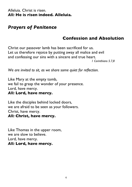#### Alleluia. Christ is risen. *All:* **He is risen indeed. Alleluia.**

## *Prayers of Penitence*

## **Confession and Absolution**

Christ our passover lamb has been sacrificed for us. Let us therefore rejoice by putting away all malice and evil and confessing our sins with a sincere and true heart.

*1 Corinthians 5.7,8*

*We are invited to sit, as we share some quiet for reflection.*

Like Mary at the empty tomb, we fail to grasp the wonder of your presence. Lord, have mercy. *All:* **Lord, have mercy.**

Like the disciples behind locked doors, we are afraid to be seen as your followers. Christ, have mercy. *All:* **Christ, have mercy.**

Like Thomas in the upper room, we are slow to believe. Lord, have mercy. *All:* **Lord, have mercy.**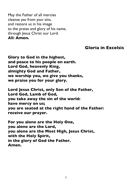May the Father of all mercies cleanse *you* from y*our* sins, and restore *us* in his image to the praise and glory of his name, through Jesus Christ our Lord. *All:* **Amen.**

### **Gloria in Excelsis**

**Glory to God in the highest, and peace to his people on earth. Lord God, heavenly King, almighty God and Father, we worship you, we give you thanks, we praise you for your glory.**

**Lord Jesus Christ, only Son of the Father, Lord God, Lamb of God, you take away the sin of the world: have mercy on us; you are seated at the right hand of the Father: receive our prayer.**

**For you alone are the Holy One, you alone are the Lord, you alone are the Most High, Jesus Christ, with the Holy Spirit, in the glory of God the Father. Amen.**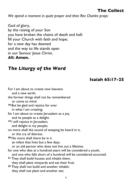## **The Collect**

*We spend a moment in quiet prayer and then Rev Charles prays:* 

God of glory, by the raising of your Son you have broken the chains of death and hell: fill your Church with faith and hope; for a new day has dawned and the way to life stands open in our Saviour Jesus Christ. *All:* **Amen.**

# *The Liturgy of the Word*

**Isaiah 65:17-25**

| For I am about to create new heavens                              |
|-------------------------------------------------------------------|
| and a new earth;                                                  |
| the former things shall not be remembered                         |
| or come to mind.                                                  |
| <sup>18</sup> But be glad and rejoice for ever                    |
| in what I am creating;                                            |
| for I am about to create Jerusalem as a joy,                      |
| and its people as a delight.                                      |
| <sup>19</sup> I will rejoice in Jerusalem,                        |
| and delight in my people;                                         |
| no more shall the sound of weeping be heard in it,                |
| or the cry of distress.                                           |
| 20 No more shall there be in it                                   |
| an infant that lives but a few days,                              |
| or an old person who does not live out a lifetime;                |
| for one who dies at a hundred years will be considered a youth,   |
| and one who falls short of a hundred will be considered accursed. |
| <sup>21</sup> They shall build houses and inhabit them;           |
| they shall plant vineyards and eat their fruit.                   |
| <sup>22</sup> They shall not build and another inhabit;           |
| they shall not plant and another eat;                             |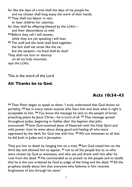for like the days of a tree shall the days of my people be, and my chosen shall long enjoy the work of their hands.

- **<sup>23</sup>** They shall not labour in vain, or bear children for calamity;
- for they shall be offspring blessed by the LORD and their descendants as well.
- **<sup>24</sup>** Before they call I will answer, while they are yet speaking I will hear.
- **<sup>25</sup>** The wolf and the lamb shall feed together, the lion shall eat straw like the ox; but the serpent—its food shall be dust!
- They shall not hurt or destroy
- on all my holy mountain,

says the LORD.

This is the word of the Lord

## *All:* **Thanks be to God.**

## **Acts 10:34-43**

**<sup>34</sup>** Then Peter began to speak to them: 'I truly understand that God shows no partiality, **<sup>35</sup>** but in every nation anyone who fears him and does what is right is acceptable to him. **<sup>36</sup>** You know the message he sent to the people of Israel, preaching peace by Jesus Christ—he is Lord of all. **<sup>37</sup>** That message spread throughout Judea, beginning in Galilee after the baptism that John announced: **<sup>38</sup>** how God anointed Jesus of Nazareth with the Holy Spirit and with power; how he went about doing good and healing all who were oppressed by the devil, for God was with him. **<sup>39</sup>** We are witnesses to all that he did both in Judea and in Jerusalem.

They put him to death by hanging him on a tree; **<sup>40</sup>** but God raised him on the third day and allowed him to appear, **<sup>41</sup>** not to all the people but to us who were chosen by God as witnesses, and who ate and drank with him after he rose from the dead. **<sup>42</sup>** He commanded us to preach to the people and to testify that he is the one ordained by God as judge of the living and the dead. **<sup>43</sup>** All the prophets testify about him that everyone who believes in him receives forgiveness of sins through his name.'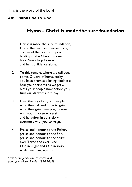#### This is the word of the Lord

#### *All:* **Thanks be to God.**

#### **Hymn – Christ is made the sure foundation**

- 1 Christ is made the sure foundation, Christ the head and cornerstone, chosen of the Lord, and precious, binding all the Church in one, holy Zion's help forever, and her confidence alone.
- 2 To this temple, where we call you, come, O Lord of hosts, today; you have promised loving kindness; hear your servants as we pray, bless your people now before you, turn our darkness into day.
- 3 Hear the cry of all your people, what they ask and hope to gain; what they gain from you, forever with your chosen to retain, and hereafter in your glory evermore with you to reign.
- 4 Praise and honour to the Father, praise and honour to the Son, praise and honour to the Spirit, ever Three and ever One, One in might and One in glory, while unending ages run.

*'Urbs beata Jerusalem', (c.7th century) trans. John Mason Neale, (1818-1866)*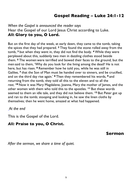## **Gospel Reading – Luke 24:1-12**

#### *When the Gospel is announced the reader says* Hear the Gospel of our Lord Jesus Christ according to Luke. *All***: Glory to you, O Lord.**

But on the first day of the week, at early dawn, they came to the tomb, taking the spices that they had prepared. **<sup>2</sup>** They found the stone rolled away from the tomb, **<sup>3</sup>** but when they went in, they did not find the body. **<sup>4</sup>** While they were perplexed about this, suddenly two men in dazzling clothes stood beside them. **<sup>5</sup>** The women were terrified and bowed their faces to the ground, but the men said to them, 'Why do you look for the living among the dead? He is not here, but has risen. **<sup>6</sup>** Remember how he told you, while he was still in Galilee, **<sup>7</sup>** that the Son of Man must be handed over to sinners, and be crucified, and on the third day rise again.' **<sup>8</sup>** Then they remembered his words, **<sup>9</sup>** and returning from the tomb, they told all this to the eleven and to all the rest. **<sup>10</sup>** Now it was Mary Magdalene, Joanna, Mary the mother of James, and the other women with them who told this to the apostles. **<sup>11</sup>** But these words seemed to them an idle tale, and they did not believe them. **<sup>12</sup>** But Peter got up and ran to the tomb; stooping and looking in, he saw the linen cloths by themselves; then he went home, amazed at what had happened.

*At the end*

This is the Gospel of the Lord.

#### *All:* **Praise to you, O Christ.**

#### **Sermon**

*After the sermon, we share a time of quiet.*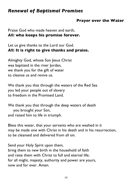# *Renewal of Baptismal Promises*

#### **Prayer over the Water**

Praise God who made heaven and earth, *All:* **who keeps his promise forever.**

Let us give thanks to the Lord our God. *All:* **It is right to give thanks and praise.**

Almighty God, whose Son Jesus Christ was baptized in the river Jordan, we thank you for the gift of water to cleanse us and revive us.

We thank you that through the waters of the Red Sea you led your people out of slavery to freedom in the Promised Land.

We thank you that through the deep waters of death you brought your Son, and raised him to life in triumph.

Bless this water, that your servants who are washed in it may be made one with Christ in his death and in his resurrection, to be cleansed and delivered from all sin.

Send your Holy Spirit upon them, bring them to new birth in the household of faith and raise them with Christ to full and eternal life; for all might, majesty, authority and power are yours, now and for ever. Amen.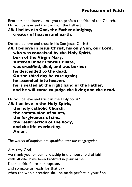## **Profession of Faith**

Brothers and sisters, I ask you to profess the faith of the Church. Do you believe and trust in God the Father?

## *All:* **I believe in God, the Father almighty, creator of heaven and earth.**

Do you believe and trust in his Son Jesus Christ? *All:* **I believe in Jesus Christ, his only Son, our Lord, who was conceived by the Holy Spirit, born of the Virgin Mary, suffered under Pontius Pilate, was crucified, died, and was buried; he descended to the dead. On the third day he rose again; he ascended into heaven, he is seated at the right hand of the Father, and he will come to judge the living and the dead.**

Do you believe and trust in the Holy Spirit?

*All:* **I believe in the Holy Spirit, the holy catholic Church, the communion of saints, the forgiveness of sins, the resurrection of the body, and the life everlasting. Amen.**

*The waters of baptism are sprinkled over the congregation.*

Almighty God, we thank you for our fellowship in the household of faith with all who have been baptized in your name. Keep us faithful to our baptism, and so make us ready for that day when the whole creation shall be made perfect in your Son,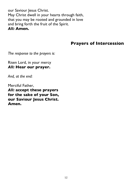our Saviour Jesus Christ. May Christ dwell in your hearts through faith, that you may be rooted and grounded in love and bring forth the fruit of the Spirit. *All:* **Amen.**

## **Prayers of Intercession**

*The response to the prayers is:*

Risen Lord, in your mercy *All:* **Hear our prayer.**

*And, at the end:*

Merciful Father,

*All:* **accept these prayers for the sake of your Son, our Saviour Jesus Christ. Amen.**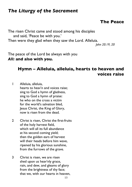# *The Liturgy of the Sacrament*

#### **The Peace**

The risen Christ came and stood among his disciples and said, 'Peace be with you.' Then were they glad when they saw the Lord. Alleluia. *John 20.19, 20*

The peace of the Lord be always with you *All:* **and also with you.**

## **Hymn – Alleluia, alleluia, hearts to heaven and voices raise**

1 Alleluia, alleluia, hearts to heav'n and voices raise; sing to God a hymn of gladness, sing to God a hymn of praise: he who on the cross a victim for the world's salvation bled, Jesus Christ, the King of Glory, now is risen from the dead.

- 2 Christ is risen, Christ the first-fruits of the holy harvest field, which will all its full abundance at his second coming yield; then the golden ears of harvest will their heads before him wave, ripened by his glorious sunshine, from the furrows of the grave.
- 3 Christ is risen, we are risen shed upon us heav'nly grace, rain, and dew, and gleams of glory from the brightness of thy face; that we, with our hearts in heaven,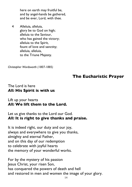here on earth may fruitful be, and by angel-hands be gathered, and be ever, Lord, with thee.

4 Alleluia, alleluia, glory be to God on high; alleluia to the Saviour, who has gained the victory; alleluia to the Spirit, fount of love and sanctity; alleluia, alleluia, to the Triune Majesty.

*Christopher Wordsworth (1807-1885)*

## **The Eucharistic Prayer**

#### The Lord is here *All:* **His Spirit is with us**

#### Lift up your hearts *All:* **We lift them to the Lord.**

#### Let us give thanks to the Lord our God. *All:* **It is right to give thanks and praise.**

It is indeed right, our duty and our joy, always and everywhere to give you thanks, almighty and eternal Father, and on this day of our redemption to celebrate with joyful hearts the memory of your wonderful works.

For by the mystery of his passion Jesus Christ, your risen Son, has conquered the powers of death and hell and restored in men and women the image of your glory.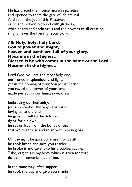He has placed them once more in paradise and opened to them the gate of life eternal. And so, in the joy of this Passover, earth and heaven resound with gladness, while angels and archangels and the powers of all creation sing for ever the hymn of your glory:

*All***: Holy, holy, holy Lord, God of power and might, heaven and earth are full of your glory. Hosanna in the highest. Blessed is he who comes in the name of the Lord. Hosanna in the highest.**

Lord God, you are the most holy one, enthroned in splendour and light, yet in the coming of your Son Jesus Christ you reveal the power of your love made perfect in our human weakness.

Embracing our humanity, Jesus showed us the way of salvation; loving us to the end, he gave himself to death for us; dying for his own, he set us free from the bonds of sin, that we might rise and reign with him in glory.

On the night he gave up himself for us all he took bread and gave you thanks; he broke it and gave it to his disciples, saying: Take, eat; this is my body which is given for you; do this in remembrance of me.

In the same way, after supper he took the cup and gave you thanks;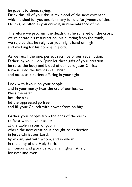he gave it to them, saying:

Drink this, all of you; this is my blood of the new covenant which is shed for you and for many for the forgiveness of sins. Do this, as often as you drink it, in remembrance of me.

Therefore we proclaim the death that he suffered on the cross, we celebrate his resurrection, his bursting from the tomb, we rejoice that he reigns at your right hand on high and we long for his coming in glory.

As we recall the one, perfect sacrifice of our redemption, Father, by your Holy Spirit let these gifts of your creation be to us the body and blood of our Lord Jesus Christ; form us into the likeness of Christ and make us a perfect offering in your sight.

Look with favour on your people and in your mercy hear the cry of our hearts. Bless the earth, heal the sick, let the oppressed go free and fill your Church with power from on high.

Gather your people from the ends of the earth to feast with all your saints at the table in your kingdom, where the new creation is brought to perfection in Jesus Christ our Lord; by whom, and with whom, and in whom, in the unity of the Holy Spirit, all honour and glory be yours, almighty Father, for ever and ever.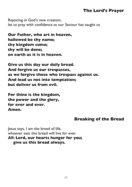## **The Lord's Prayer**

Rejoicing in God's new creation, let us pray with confidence as our Saviour has taught us

**Our Father, who art in heaven, hallowed be thy name; thy kingdom come; thy will be done; on earth as it is in heaven.**

**Give us this day our daily bread. And forgive us our trespasses, as we forgive those who trespass against us. And lead us not into temptation; but deliver us from evil.**

**For thine is the kingdom, the power and the glory, for ever and ever. Amen.**

#### **Breaking of the Bread**

Jesus says, I am the bread of life, whoever eats this bread will live for ever. *All***: Lord, our hearts hunger for you; give us this bread always.**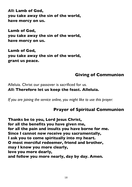*All***: Lamb of God, you take away the sin of the world, have mercy on us.**

**Lamb of God, you take away the sin of the world, have mercy on us.**

**Lamb of God, you take away the sin of the world, grant us peace.**

## **Giving of Communion**

Alleluia. Christ our passover is sacrificed for us. *All***: Therefore let us keep the feast. Alleluia.**

*If you are joining the service online, you might like to use this prayer:*

## **Prayer of Spiritual Communion**

**Thanks be to you, Lord Jesus Christ, for all the benefits you have given me, for all the pain and insults you have borne for me. Since I cannot now receive you sacramentally, I ask you to come spiritually into my heart. O most merciful redeemer, friend and brother, may I know you more clearly, love you more dearly, and follow you more nearly, day by day. Amen.**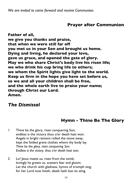*We are invited to come forward and receive Communion.*

#### **Prayer after Communion**

**Father of all, we give you thanks and praise, that when we were still far off you met us in your Son and brought us home. Dying and living, he declared your love, gave us grace, and opened the gate of glory. May we who share Christ's body live his risen life; we who drink his cup bring life to others; we whom the Spirit lights give light to the world. Keep us firm in the hope you have set before us, so we and all your children shall be free, and the whole earth live to praise your name; through Christ our Lord. Amen.**

## *The Dismissal*

## **Hymn - Thine Be The Glory**

1 Thine be the glory, risen conquering Son; endless is the victory thou o'er death hast won. Angels in bright raiment rolled the stone away, kept the folded grave clothes where thy body lay. *Thine be the glory, risen conquering Son: Endless is the victory, thou o'er death hast won.* 

2 Lo! Jesus meets us, risen from the tomb; lovingly he greets us, scatters fear and gloom. Let the church with gladness, hymns of triumph sing; for her Lord now liveth, death hath lost its sting.